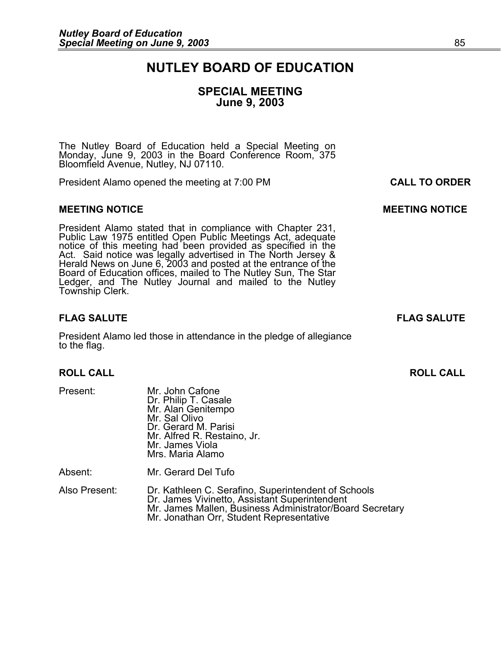# **NUTLEY BOARD OF EDUCATION**

# **SPECIAL MEETING June 9, 2003**

The Nutley Board of Education held a Special Meeting on Monday, June 9, 2003 in the Board Conference Room, 375 Bloomfield Avenue, Nutley, NJ 07110.

President Alamo opened the meeting at 7:00 PM **CALL TO ORDER**

#### **MEETING NOTICE CONSUMING A REFORE AND LOCAL CONSUMING MOTICE**

President Alamo stated that in compliance with Chapter 231,<br>Public Law 1975 entitled Open Public Meetings Act, adequate<br>notice of this meeting had been provided as specified in the<br>Act. Said notice was legally advertised i Board of Education offices, mailed to The Nutley Sun, The Star<br>Ledger, and The Nutley Journal and mailed to the Nutley Township Clerk.

# **FLAG SALUTE FLAG SALUTE**

President Alamo led those in attendance in the pledge of allegiance to the flag.

#### **ROLL CALL ROLL CALL**

Present: Mr. John Cafone<br>Dr. Philip T. Casale Mr. Alan Genitempo Mr. Sal Olivo Dr. Gerard M. Parisi Mr. Alfred R. Restaino, Jr. Mr. James Viola Mrs. Maria Alamo

Absent: Mr. Gerard Del Tufo

Also Present: Dr. Kathleen C. Serafino, Superintendent of Schools Dr. James Vivinetto, Assistant Superintendent<br>Mr. James Mallen, Business Administrator/Board Secretary Mr. Jonathan Orr, Student Representative